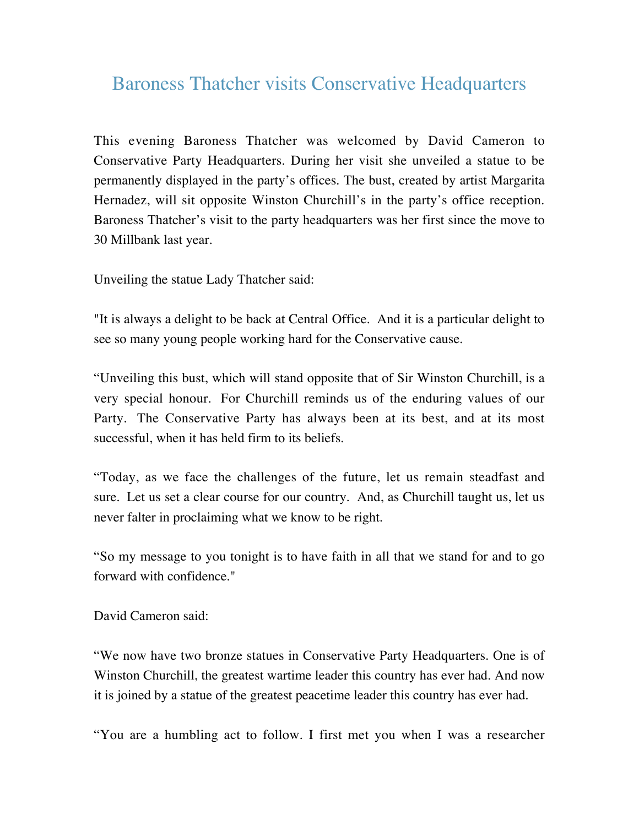## Baroness Thatcher visits Conservative Headquarters

This evening Baroness Thatcher was welcomed by David Cameron to Conservative Party Headquarters. During her visit she unveiled a statue to be permanently displayed in the party's offices. The bust, created by artist Margarita Hernadez, will sit opposite Winston Churchill's in the party's office reception. Baroness Thatcher's visit to the party headquarters was her first since the move to 30 Millbank last year.

Unveiling the statue Lady Thatcher said:

"It is always a delight to be back at Central Office. And it is a particular delight to see so many young people working hard for the Conservative cause.

"Unveiling this bust, which will stand opposite that of Sir Winston Churchill, is a very special honour. For Churchill reminds us of the enduring values of our Party. The Conservative Party has always been at its best, and at its most successful, when it has held firm to its beliefs.

"Today, as we face the challenges of the future, let us remain steadfast and sure. Let us set a clear course for our country. And, as Churchill taught us, let us never falter in proclaiming what we know to be right.

"So my message to you tonight is to have faith in all that we stand for and to go forward with confidence."

David Cameron said:

"We now have two bronze statues in Conservative Party Headquarters. One is of Winston Churchill, the greatest wartime leader this country has ever had. And now it is joined by a statue of the greatest peacetime leader this country has ever had.

"You are a humbling act to follow. I first met you when I was a researcher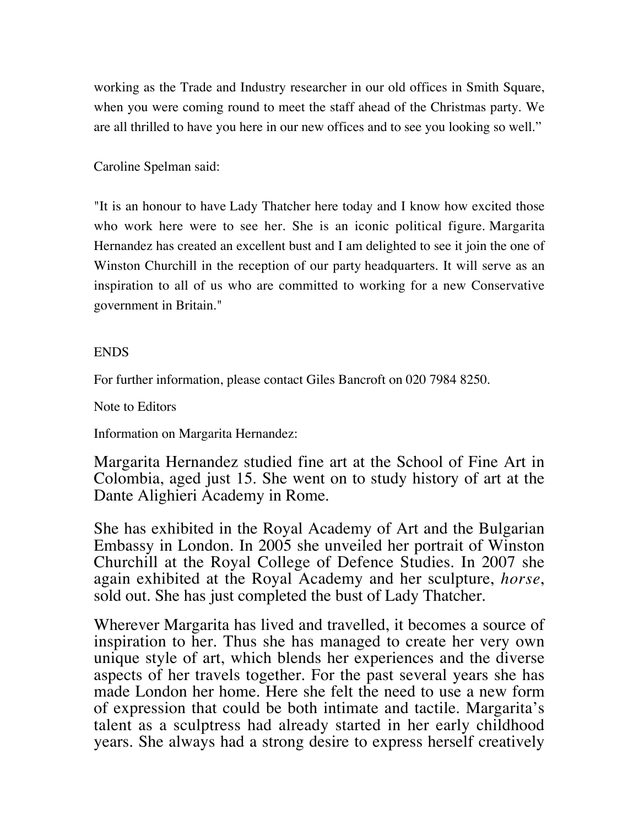working as the Trade and Industry researcher in our old offices in Smith Square, when you were coming round to meet the staff ahead of the Christmas party. We are all thrilled to have you here in our new offices and to see you looking so well."

Caroline Spelman said:

"It is an honour to have Lady Thatcher here today and I know how excited those who work here were to see her. She is an iconic political figure. Margarita Hernandez has created an excellent bust and I am delighted to see it join the one of Winston Churchill in the reception of our party headquarters. It will serve as an inspiration to all of us who are committed to working for a new Conservative government in Britain."

## ENDS

For further information, please contact Giles Bancroft on 020 7984 8250.

Note to Editors

Information on Margarita Hernandez:

Margarita Hernandez studied fine art at the School of Fine Art in Colombia, aged just 15. She went on to study history of art at the Dante Alighieri Academy in Rome.

She has exhibited in the Royal Academy of Art and the Bulgarian Embassy in London. In 2005 she unveiled her portrait of Winston Churchill at the Royal College of Defence Studies. In 2007 she again exhibited at the Royal Academy and her sculpture, *horse*, sold out. She has just completed the bust of Lady Thatcher.

Wherever Margarita has lived and travelled, it becomes a source of inspiration to her. Thus she has managed to create her very own unique style of art, which blends her experiences and the diverse aspects of her travels together. For the past several years she has made London her home. Here she felt the need to use a new form of expression that could be both intimate and tactile. Margarita's talent as a sculptress had already started in her early childhood years. She always had a strong desire to express herself creatively